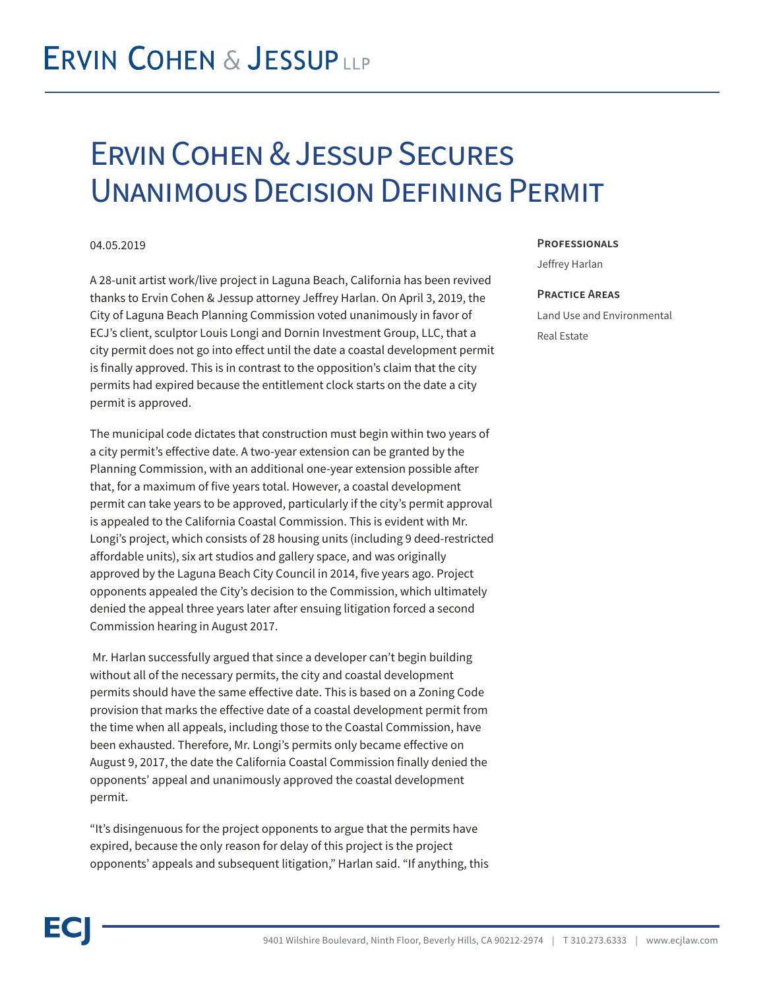## **ERVIN COHEN & JESSUPLLP**

### Ervin Cohen & Jessup Secures Unanimous Decision Defining Permit

### 04.05.2019

A 28-unit artist work/live project in Laguna Beach, California has been revived thanks to Ervin Cohen & Jessup attorney Jeffrey Harlan. On April 3, 2019, the City of Laguna Beach Planning Commission voted unanimously in favor of ECJ's client, sculptor Louis Longi and Dornin Investment Group, LLC, that a city permit does not go into effect until the date a coastal development permit is finally approved. This is in contrast to the opposition's claim that the city permits had expired because the entitlement clock starts on the date a city permit is approved.

The municipal code dictates that construction must begin within two years of a city permit's effective date. A two-year extension can be granted by the Planning Commission, with an additional one-year extension possible after that, for a maximum of five years total. However, a coastal development permit can take years to be approved, particularly if the city's permit approval is appealed to the California Coastal Commission. This is evident with Mr. Longi's project, which consists of 28 housing units (including 9 deed-restricted affordable units), six art studios and gallery space, and was originally approved by the Laguna Beach City Council in 2014, five years ago. Project opponents appealed the City's decision to the Commission, which ultimately denied the appeal three years later after ensuing litigation forced a second Commission hearing in August 2017.

 Mr. Harlan successfully argued that since a developer can't begin building without all of the necessary permits, the city and coastal development permits should have the same effective date. This is based on a Zoning Code provision that marks the effective date of a coastal development permit from the time when all appeals, including those to the Coastal Commission, have been exhausted. Therefore, Mr. Longi's permits only became effective on August 9, 2017, the date the California Coastal Commission finally denied the opponents' appeal and unanimously approved the coastal development permit.

"It's disingenuous for the project opponents to argue that the permits have expired, because the only reason for delay of this project is the project opponents' appeals and subsequent litigation," Harlan said. "If anything, this

#### **Professionals**

Jeffrey Harlan

#### **Practice Areas**

Land Use and Environmental Real Estate